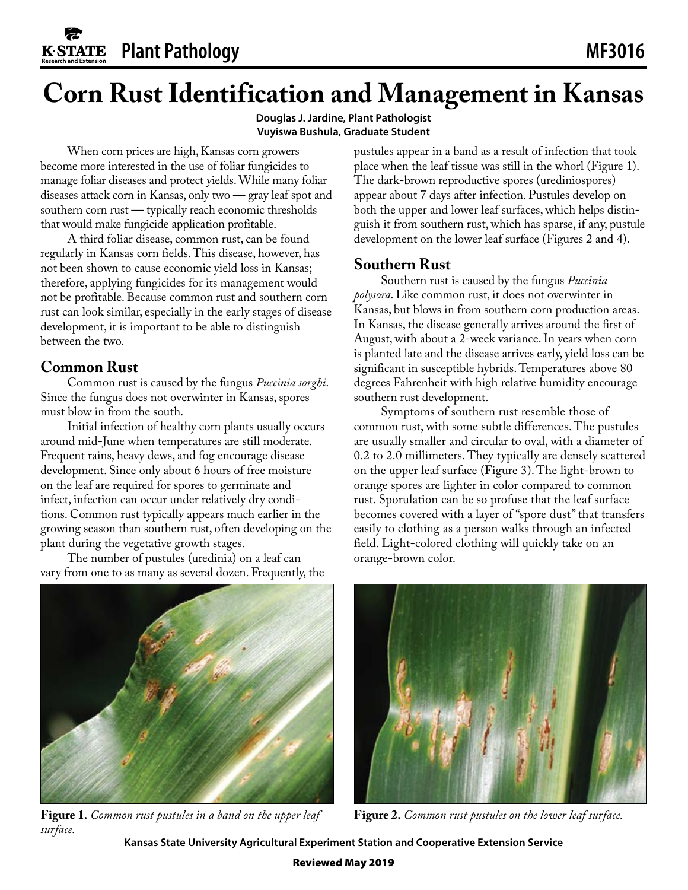# **Corn Rust Identification and Management in Kansas**

**Douglas J. Jardine, Plant Pathologist Vuyiswa Bushula, Graduate Student**

When corn prices are high, Kansas corn growers become more interested in the use of foliar fungicides to manage foliar diseases and protect yields. While many foliar diseases attack corn in Kansas, only two — gray leaf spot and southern corn rust — typically reach economic thresholds that would make fungicide application profitable.

A third foliar disease, common rust, can be found regularly in Kansas corn fields. This disease, however, has not been shown to cause economic yield loss in Kansas; therefore, applying fungicides for its management would not be profitable. Because common rust and southern corn rust can look similar, especially in the early stages of disease development, it is important to be able to distinguish between the two.

## **Common Rust**

Common rust is caused by the fungus *Puccinia sorghi*. Since the fungus does not overwinter in Kansas, spores must blow in from the south.

Initial infection of healthy corn plants usually occurs around mid-June when temperatures are still moderate. Frequent rains, heavy dews, and fog encourage disease development. Since only about 6 hours of free moisture on the leaf are required for spores to germinate and infect, infection can occur under relatively dry conditions. Common rust typically appears much earlier in the growing season than southern rust, often developing on the plant during the vegetative growth stages.

The number of pustules (uredinia) on a leaf can vary from one to as many as several dozen. Frequently, the pustules appear in a band as a result of infection that took place when the leaf tissue was still in the whorl (Figure 1). The dark-brown reproductive spores (urediniospores) appear about 7 days after infection. Pustules develop on both the upper and lower leaf surfaces, which helps distinguish it from southern rust, which has sparse, if any, pustule development on the lower leaf surface (Figures 2 and 4).

## **Southern Rust**

Southern rust is caused by the fungus *Puccinia polysora*. Like common rust, it does not overwinter in Kansas, but blows in from southern corn production areas. In Kansas, the disease generally arrives around the first of August, with about a 2-week variance. In years when corn is planted late and the disease arrives early, yield loss can be significant in susceptible hybrids. Temperatures above 80 degrees Fahrenheit with high relative humidity encourage southern rust development.

Symptoms of southern rust resemble those of common rust, with some subtle differences. The pustules are usually smaller and circular to oval, with a diameter of 0.2 to 2.0 millimeters. They typically are densely scattered on the upper leaf surface (Figure 3). The light-brown to orange spores are lighter in color compared to common rust. Sporulation can be so profuse that the leaf surface becomes covered with a layer of "spore dust" that transfers easily to clothing as a person walks through an infected field. Light-colored clothing will quickly take on an orange-brown color.



**Figure 1.** *Common rust pustules in a band on the upper leaf surface.*



**Figure 2.** *Common rust pustules on the lower leaf surface.*

**Kansas State University Agricultural Experiment Station and Cooperative Extension Service**